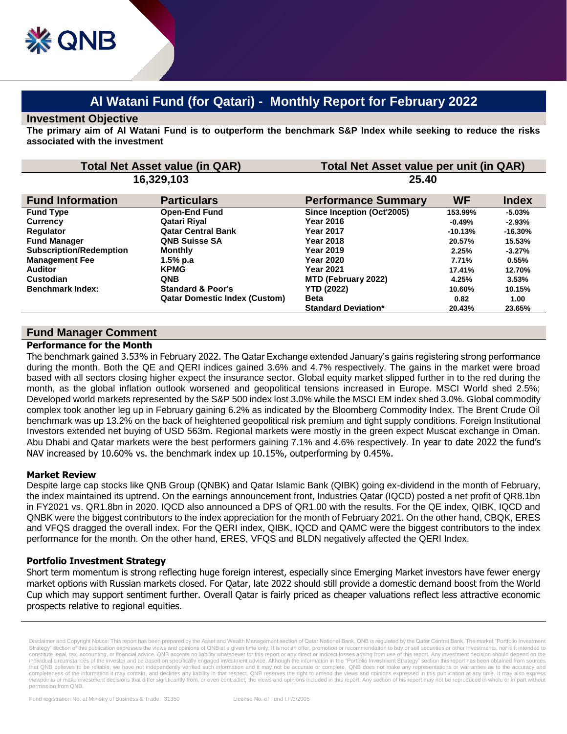# **Al Watani Fund (for Qatari) - Monthly Report for February 2022**

#### **Investment Objective**

**The primary aim of Al Watani Fund is to outperform the benchmark S&P Index while seeking to reduce the risks associated with the investment**

| <b>Total Net Asset value (in QAR)</b><br>16,329,103 |                                      | Total Net Asset value per unit (in QAR)<br>25.40 |           |           |
|-----------------------------------------------------|--------------------------------------|--------------------------------------------------|-----------|-----------|
|                                                     |                                      |                                                  |           |           |
| <b>Fund Type</b>                                    | <b>Open-End Fund</b>                 | Since Inception (Oct'2005)                       | 153.99%   | $-5.03\%$ |
| <b>Currency</b>                                     | Qatari Rival                         | Year 2016                                        | $-0.49%$  | $-2.93%$  |
| <b>Regulator</b>                                    | <b>Qatar Central Bank</b>            | <b>Year 2017</b>                                 | $-10.13%$ | $-16.30%$ |
| <b>Fund Manager</b>                                 | <b>QNB Suisse SA</b>                 | <b>Year 2018</b>                                 | 20.57%    | 15.53%    |
| <b>Subscription/Redemption</b>                      | <b>Monthly</b>                       | <b>Year 2019</b>                                 | 2.25%     | $-3.27%$  |
| <b>Management Fee</b>                               | 1.5% p.a                             | <b>Year 2020</b>                                 | 7.71%     | 0.55%     |
| <b>Auditor</b>                                      | <b>KPMG</b>                          | <b>Year 2021</b>                                 | 17.41%    | 12.70%    |
| Custodian                                           | <b>QNB</b>                           | MTD (February 2022)                              | 4.25%     | 3.53%     |
| <b>Benchmark Index:</b>                             | <b>Standard &amp; Poor's</b>         | <b>YTD (2022)</b>                                | 10.60%    | 10.15%    |
|                                                     | <b>Qatar Domestic Index (Custom)</b> | <b>Beta</b>                                      | 0.82      | 1.00      |
|                                                     |                                      | <b>Standard Deviation*</b>                       | 20.43%    | 23.65%    |

## **Fund Manager Comment**

#### **Performance for the Month**

The benchmark gained 3.53% in February 2022. The Qatar Exchange extended January's gains registering strong performance during the month. Both the QE and QERI indices gained 3.6% and 4.7% respectively. The gains in the market were broad based with all sectors closing higher expect the insurance sector. Global equity market slipped further in to the red during the month, as the global inflation outlook worsened and geopolitical tensions increased in Europe. MSCI World shed 2.5%; Developed world markets represented by the S&P 500 index lost 3.0% while the MSCI EM index shed 3.0%. Global commodity complex took another leg up in February gaining 6.2% as indicated by the Bloomberg Commodity Index. The Brent Crude Oil benchmark was up 13.2% on the back of heightened geopolitical risk premium and tight supply conditions. Foreign Institutional Investors extended net buying of USD 563m. Regional markets were mostly in the green expect Muscat exchange in Oman. Abu Dhabi and Qatar markets were the best performers gaining 7.1% and 4.6% respectively. In year to date 2022 the fund's NAV increased by 10.60% vs. the benchmark index up 10.15%, outperforming by 0.45%.

### **Market Review**

Despite large cap stocks like QNB Group (QNBK) and Qatar Islamic Bank (QIBK) going ex-dividend in the month of February, the index maintained its uptrend. On the earnings announcement front, Industries Qatar (IQCD) posted a net profit of QR8.1bn in FY2021 vs. QR1.8bn in 2020. IQCD also announced a DPS of QR1.00 with the results. For the QE index, QIBK, IQCD and QNBK were the biggest contributors to the index appreciation for the month of February 2021. On the other hand, CBQK, ERES and VFQS dragged the overall index. For the QERI index, QIBK, IQCD and QAMC were the biggest contributors to the index performance for the month. On the other hand, ERES, VFQS and BLDN negatively affected the QERI Index.

### **Portfolio Investment Strategy**

Short term momentum is strong reflecting huge foreign interest, especially since Emerging Market investors have fewer energy market options with Russian markets closed. For Qatar, late 2022 should still provide a domestic demand boost from the World Cup which may support sentiment further. Overall Qatar is fairly priced as cheaper valuations reflect less attractive economic prospects relative to regional equities.

Disclaimer and Copyright Notice: This report has been prepared by the Asset and Wealth Management section of Qatar National Bank. QNB is regulated by the Qatar Central Bank. The market "Portfolio Investment Strategy" section of this publication expresses the views and opinions of QNB at a given time only. It is not an offer, promotion or recommendation to buy or sell securities or other investments, nor is it intended to<br>cons individual circumstances of the investor and be based on specifically engaged investment advice. Although the information in the "Portfolio Investment Strategy" section this report has been obtained from sources that QNB believes to be reliable, we have not independently verified such information and it may not be accurate or complete. QNB does not make any representations or warranties as to the accuracy and completeness of the information it may contain, and declines any liability in that respect. QNB reserves the right to amend the views and opinions expressed in this publication at any time. It may also express viewpoints or make investment decisions that differ significantly from, or even contradict, the views and opinions included in this report. Any section of his report may not be reproduced in whole or in part without permission from QNB.